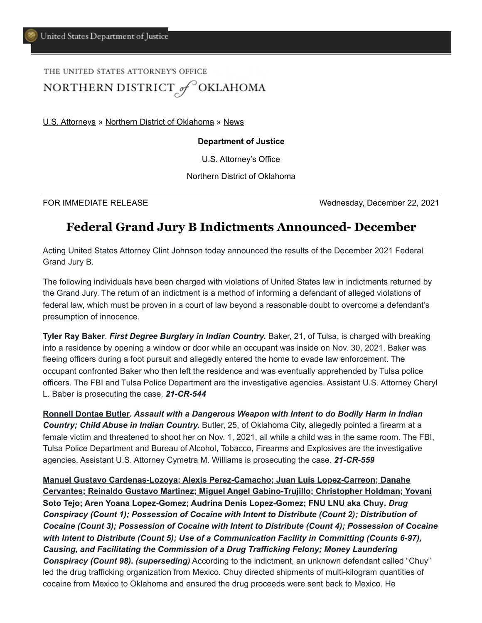# THE UNITED STATES ATTORNEY'S OFFICE NORTHERN DISTRICT of OKLAHOMA

[U.S. Attorneys](https://www.justice.gov/usao) » [Northern District of Oklahoma](https://www.justice.gov/usao-ndok) » [News](https://www.justice.gov/usao-ndok/pr)

#### **Department of Justice**

U.S. Attorney's Office

Northern District of Oklahoma

FOR IMMEDIATE RELEASE Wednesday, December 22, 2021

## **Federal Grand Jury B Indictments Announced- December**

Acting United States Attorney Clint Johnson today announced the results of the December 2021 Federal Grand Jury B.

The following individuals have been charged with violations of United States law in indictments returned by the Grand Jury. The return of an indictment is a method of informing a defendant of alleged violations of federal law, which must be proven in a court of law beyond a reasonable doubt to overcome a defendant's presumption of innocence.

**Tyler Ray Baker**. *First Degree Burglary in Indian Country.* Baker, 21, of Tulsa, is charged with breaking into a residence by opening a window or door while an occupant was inside on Nov. 30, 2021. Baker was fleeing officers during a foot pursuit and allegedly entered the home to evade law enforcement. The occupant confronted Baker who then left the residence and was eventually apprehended by Tulsa police officers. The FBI and Tulsa Police Department are the investigative agencies. Assistant U.S. Attorney Cheryl L. Baber is prosecuting the case. *21-CR-544*

**Ronnell Dontae Butler***. Assault with a Dangerous Weapon with Intent to do Bodily Harm in Indian Country; Child Abuse in Indian Country.* Butler, 25, of Oklahoma City, allegedly pointed a firearm at a female victim and threatened to shoot her on Nov. 1, 2021, all while a child was in the same room. The FBI, Tulsa Police Department and Bureau of Alcohol, Tobacco, Firearms and Explosives are the investigative agencies. Assistant U.S. Attorney Cymetra M. Williams is prosecuting the case. *21-CR-559*

**Manuel Gustavo Cardenas-Lozoya; Alexis Perez-Camacho; Juan Luis Lopez-Carreon; Danahe Cervantes; Reinaldo Gustavo Martinez; Miguel Angel Gabino-Trujillo; Christopher Holdman; Yovani Soto Tejo; Aren Yoana Lopez-Gomez; Audrina Denis Lopez-Gomez; FNU LNU aka Chuy.** *Drug Conspiracy (Count 1); Possession of Cocaine with Intent to Distribute (Count 2); Distribution of Cocaine (Count 3); Possession of Cocaine with Intent to Distribute (Count 4); Possession of Cocaine with Intent to Distribute (Count 5); Use of a Communication Facility in Committing (Counts 6-97), Causing, and Facilitating the Commission of a Drug Trafficking Felony; Money Laundering Conspiracy (Count 98). (superseding)* According to the indictment, an unknown defendant called "Chuy" led the drug trafficking organization from Mexico. Chuy directed shipments of multi-kilogram quantities of cocaine from Mexico to Oklahoma and ensured the drug proceeds were sent back to Mexico. He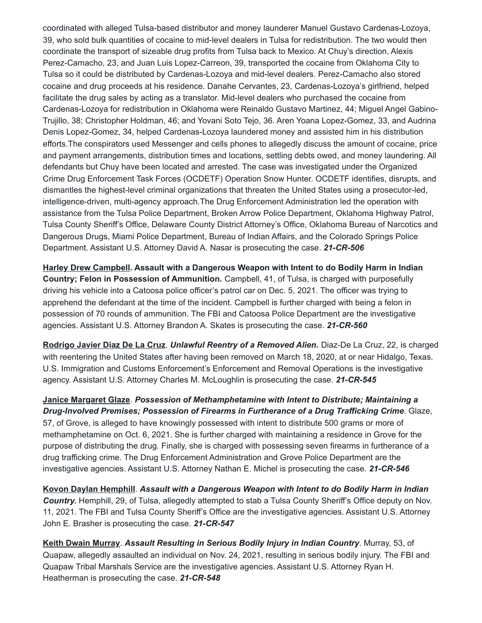coordinated with alleged Tulsa-based distributor and money launderer Manuel Gustavo Cardenas-Lozoya, 39, who sold bulk quantities of cocaine to mid-level dealers in Tulsa for redistribution. The two would then coordinate the transport of sizeable drug profits from Tulsa back to Mexico. At Chuy's direction, Alexis Perez-Camacho, 23, and Juan Luis Lopez-Carreon, 39, transported the cocaine from Oklahoma City to Tulsa so it could be distributed by Cardenas-Lozoya and mid-level dealers. Perez-Camacho also stored cocaine and drug proceeds at his residence. Danahe Cervantes, 23, Cardenas-Lozoya's girlfriend, helped facilitate the drug sales by acting as a translator. Mid-level dealers who purchased the cocaine from Cardenas-Lozoya for redistribution in Oklahoma were Reinaldo Gustavo Martinez, 44; Miguel Angel Gabino-Trujillo, 38; Christopher Holdman, 46; and Yovani Soto Tejo, 36. Aren Yoana Lopez-Gomez, 33, and Audrina Denis Lopez-Gomez, 34, helped Cardenas-Lozoya laundered money and assisted him in his distribution efforts.The conspirators used Messenger and cells phones to allegedly discuss the amount of cocaine, price and payment arrangements, distribution times and locations, settling debts owed, and money laundering. All defendants but Chuy have been located and arrested. The case was investigated under the Organized Crime Drug Enforcement Task Forces (OCDETF) Operation Snow Hunter. OCDETF identifies, disrupts, and dismantles the highest-level criminal organizations that threaten the United States using a prosecutor-led, intelligence-driven, multi-agency approach.The Drug Enforcement Administration led the operation with assistance from the Tulsa Police Department, Broken Arrow Police Department, Oklahoma Highway Patrol, Tulsa County Sheriff's Office, Delaware County District Attorney's Office, Oklahoma Bureau of Narcotics and Dangerous Drugs, Miami Police Department, Bureau of Indian Affairs, and the Colorado Springs Police Department. Assistant U.S. Attorney David A. Nasar is prosecuting the case. *21-CR-506*

**Harley Drew Campbell. Assault with a Dangerous Weapon with Intent to do Bodily Harm in Indian Country; Felon in Possession of Ammunition.** Campbell, 41, of Tulsa, is charged with purposefully driving his vehicle into a Catoosa police officer's patrol car on Dec. 5, 2021. The officer was trying to apprehend the defendant at the time of the incident. Campbell is further charged with being a felon in possession of 70 rounds of ammunition. The FBI and Catoosa Police Department are the investigative agencies. Assistant U.S. Attorney Brandon A. Skates is prosecuting the case. *21-CR-560*

**Rodrigo Javier Diaz De La Cruz**. *Unlawful Reentry of a Removed Alien.* Diaz-De La Cruz, 22, is charged with reentering the United States after having been removed on March 18, 2020, at or near Hidalgo, Texas. U.S. Immigration and Customs Enforcement's Enforcement and Removal Operations is the investigative agency. Assistant U.S. Attorney Charles M. McLoughlin is prosecuting the case. *21-CR-545*

**Janice Margaret Glaze**. *Possession of Methamphetamine with Intent to Distribute; Maintaining a Drug-Involved Premises; Possession of Firearms in Furtherance of a Drug Trafficking Crime*. Glaze, 57, of Grove, is alleged to have knowingly possessed with intent to distribute 500 grams or more of methamphetamine on Oct. 6, 2021. She is further charged with maintaining a residence in Grove for the purpose of distributing the drug. Finally, she is charged with possessing seven firearms in furtherance of a drug trafficking crime. The Drug Enforcement Administration and Grove Police Department are the investigative agencies. Assistant U.S. Attorney Nathan E. Michel is prosecuting the case. *21-CR-546*

**Kovon Daylan Hemphill**. *Assault with a Dangerous Weapon with Intent to do Bodily Harm in Indian Country.* Hemphill, 29, of Tulsa, allegedly attempted to stab a Tulsa County Sheriff's Office deputy on Nov. 11, 2021. The FBI and Tulsa County Sheriff's Office are the investigative agencies. Assistant U.S. Attorney John E. Brasher is prosecuting the case. *21-CR-547*

**Keith Dwain Murray**. *Assault Resulting in Serious Bodily Injury in Indian Country*. Murray, 53, of Quapaw, allegedly assaulted an individual on Nov. 24, 2021, resulting in serious bodily injury. The FBI and Quapaw Tribal Marshals Service are the investigative agencies. Assistant U.S. Attorney Ryan H. Heatherman is prosecuting the case. *21-CR-548*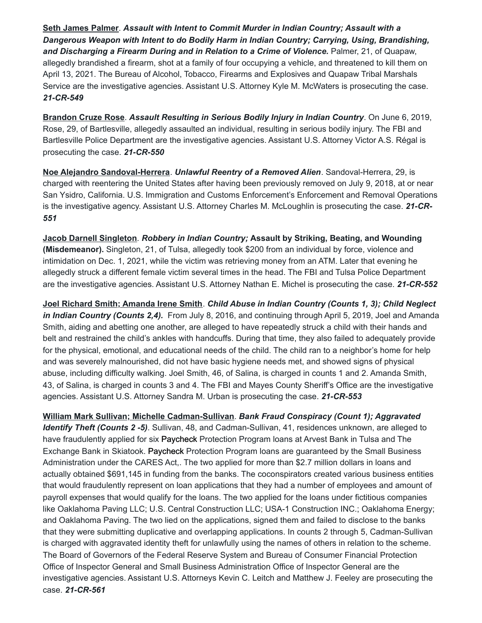**Seth James Palmer**. *Assault with Intent to Commit Murder in Indian Country; Assault with a Dangerous Weapon with Intent to do Bodily Harm in Indian Country; Carrying, Using, Brandishing,* and Discharging a Firearm During and in Relation to a Crime of Violence. Palmer, 21, of Quapaw, allegedly brandished a firearm, shot at a family of four occupying a vehicle, and threatened to kill them on April 13, 2021. The Bureau of Alcohol, Tobacco, Firearms and Explosives and Quapaw Tribal Marshals Service are the investigative agencies. Assistant U.S. Attorney Kyle M. McWaters is prosecuting the case. *21-CR-549*

**Brandon Cruze Rose**. *Assault Resulting in Serious Bodily Injury in Indian Country*. On June 6, 2019, Rose, 29, of Bartlesville, allegedly assaulted an individual, resulting in serious bodily injury. The FBI and Bartlesville Police Department are the investigative agencies. Assistant U.S. Attorney Victor A.S. Régal is prosecuting the case. *21-CR-550*

**Noe Alejandro Sandoval-Herrera**. *Unlawful Reentry of a Removed Alien*. Sandoval-Herrera, 29, is charged with reentering the United States after having been previously removed on July 9, 2018, at or near San Ysidro, California. U.S. Immigration and Customs Enforcement's Enforcement and Removal Operations is the investigative agency. Assistant U.S. Attorney Charles M. McLoughlin is prosecuting the case. *21-CR-551*

**Jacob Darnell Singleton**. *Robbery in Indian Country;* **Assault by Striking, Beating, and Wounding (Misdemeanor).** Singleton, 21, of Tulsa, allegedly took \$200 from an individual by force, violence and intimidation on Dec. 1, 2021, while the victim was retrieving money from an ATM. Later that evening he allegedly struck a different female victim several times in the head. The FBI and Tulsa Police Department are the investigative agencies. Assistant U.S. Attorney Nathan E. Michel is prosecuting the case. *21-CR-552*

**Joel Richard Smith; Amanda Irene Smith**. *Child Abuse in Indian Country (Counts 1, 3); Child Neglect in Indian Country (Counts 2,4).* From July 8, 2016, and continuing through April 5, 2019, Joel and Amanda Smith, aiding and abetting one another, are alleged to have repeatedly struck a child with their hands and belt and restrained the child's ankles with handcuffs. During that time, they also failed to adequately provide for the physical, emotional, and educational needs of the child. The child ran to a neighbor's home for help and was severely malnourished, did not have basic hygiene needs met, and showed signs of physical abuse, including difficulty walking. Joel Smith, 46, of Salina, is charged in counts 1 and 2. Amanda Smith, 43, of Salina, is charged in counts 3 and 4. The FBI and Mayes County Sheriff's Office are the investigative agencies. Assistant U.S. Attorney Sandra M. Urban is prosecuting the case. *21-CR-553*

**William Mark Sullivan; Michelle Cadman-Sullivan**. *Bank Fraud Conspiracy (Count 1); Aggravated Identify Theft (Counts 2 -5)*. Sullivan, 48, and Cadman-Sullivan, 41, residences unknown, are alleged to have fraudulently applied for six Paycheck Protection Program loans at Arvest Bank in Tulsa and The Exchange Bank in Skiatook. Paycheck Protection Program loans are guaranteed by the Small Business Administration under the CARES Act,. The two applied for more than \$2.7 million dollars in loans and actually obtained \$691,145 in funding from the banks. The coconspirators created various business entities that would fraudulently represent on loan applications that they had a number of employees and amount of payroll expenses that would qualify for the loans. The two applied for the loans under fictitious companies like Oaklahoma Paving LLC; U.S. Central Construction LLC; USA-1 Construction INC.; Oaklahoma Energy; and Oaklahoma Paving. The two lied on the applications, signed them and failed to disclose to the banks that they were submitting duplicative and overlapping applications. In counts 2 through 5, Cadman-Sullivan is charged with aggravated identity theft for unlawfully using the names of others in relation to the scheme. The Board of Governors of the Federal Reserve System and Bureau of Consumer Financial Protection Office of Inspector General and Small Business Administration Office of Inspector General are the investigative agencies. Assistant U.S. Attorneys Kevin C. Leitch and Matthew J. Feeley are prosecuting the case. *21-CR-561*